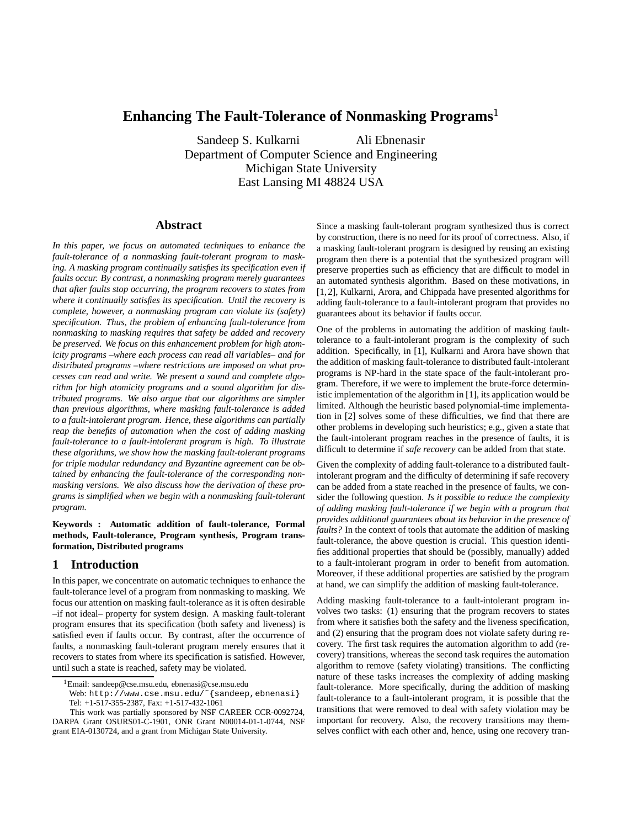# **Enhancing The Fault-Tolerance of Nonmasking Programs**

Sandeep S. Kulkarni Ali Ebnenasir Department of Computer Science and Engineering Michigan State University East Lansing MI 48824 USA

# **Abstract**

*In this paper, we focus on automated techniques to enhance the fault-tolerance of a nonmasking fault-tolerant program to masking. A masking program continually satisfies its specification even if faults occur. By contrast, a nonmasking program merely guarantees that after faults stop occurring, the program recovers to states from where it continually satisfies its specification. Until the recovery is complete, however, a nonmasking program can violate its (safety) specification. Thus, the problem of enhancing fault-tolerance from nonmasking to masking requires that safety be added and recovery be preserved. We focus on this enhancement problem for high atomicity programs –where each process can read all variables– and for distributed programs –where restrictions are imposed on what processes can read and write. We present a sound and complete algorithm for high atomicity programs and a sound algorithm for distributed programs. We also argue that our algorithms are simpler than previous algorithms, where masking fault-tolerance is added to a fault-intolerant program. Hence, these algorithms can partially reap the benefits of automation when the cost of adding masking fault-tolerance to a fault-intolerant program is high. To illustrate these algorithms, we show how the masking fault-tolerant programs for triple modular redundancy and Byzantine agreement can be obtained by enhancing the fault-tolerance of the corresponding nonmasking versions. We also discuss how the derivation of these programs is simplified when we begin with a nonmasking fault-tolerant program.*

## **Keywords : Automatic addition of fault-tolerance, Formal methods, Fault-tolerance, Program synthesis, Program transformation, Distributed programs**

# **1 Introduction**

In this paper, we concentrate on automatic techniques to enhance the fault-tolerance level of a program from nonmasking to masking. We focus our attention on masking fault-tolerance as it is often desirable –if not ideal– property for system design. A masking fault-tolerant program ensures that its specification (both safety and liveness) is satisfied even if faults occur. By contrast, after the occurrence of faults, a nonmasking fault-tolerant program merely ensures that it recovers to states from where its specification is satisfied. However, until such a state is reached, safety may be violated.

Since a masking fault-tolerant program synthesized thus is correct by construction, there is no need for its proof of correctness. Also, if a masking fault-tolerant program is designed by reusing an existing program then there is a potential that the synthesized program will preserve properties such as efficiency that are difficult to model in an automated synthesis algorithm. Based on these motivations, in [1,2], Kulkarni, Arora, and Chippada have presented algorithms for adding fault-tolerance to a fault-intolerant program that provides no guarantees about its behavior if faults occur.

One of the problems in automating the addition of masking faulttolerance to a fault-intolerant program is the complexity of such addition. Specifically, in [1], Kulkarni and Arora have shown that the addition of masking fault-tolerance to distributed fault-intolerant programs is NP-hard in the state space of the fault-intolerant program. Therefore, if we were to implement the brute-force deterministic implementation of the algorithm in [1], its application would be limited. Although the heuristic based polynomial-time implementation in [2] solves some of these difficulties, we find that there are other problems in developing such heuristics; e.g., given a state that the fault-intolerant program reaches in the presence of faults, it is difficult to determine if *safe recovery* can be added from that state.

Given the complexity of adding fault-tolerance to a distributed faultintolerant program and the difficulty of determining if safe recovery can be added from a state reached in the presence of faults, we consider the following question. *Is it possible to reduce the complexity of adding masking fault-tolerance if we begin with a program that provides additional guarantees about its behavior in the presence of faults?* In the context of tools that automate the addition of masking fault-tolerance, the above question is crucial. This question identifies additional properties that should be (possibly, manually) added to a fault-intolerant program in order to benefit from automation. Moreover, if these additional properties are satisfied by the program at hand, we can simplify the addition of masking fault-tolerance.

Adding masking fault-tolerance to a fault-intolerant program involves two tasks: (1) ensuring that the program recovers to states from where it satisfies both the safety and the liveness specification, and (2) ensuring that the program does not violate safety during recovery. The first task requires the automation algorithm to add (recovery) transitions, whereas the second task requires the automation algorithm to remove (safety violating) transitions. The conflicting nature of these tasks increases the complexity of adding masking fault-tolerance. More specifically, during the addition of masking fault-tolerance to a fault-intolerant program, it is possible that the transitions that were removed to deal with safety violation may be important for recovery. Also, the recovery transitions may themselves conflict with each other and, hence, using one recovery tran-

<sup>&</sup>lt;sup>1</sup>Email: sandeep@cse.msu.edu, ebnenasi@cse.msu.edu

Web: http://www.cse.msu.edu/~{sandeep,ebnenasi} Tel: +1-517-355-2387, Fax: +1-517-432-1061

This work was partially sponsored by NSF CAREER CCR-0092724, DARPA Grant OSURS01-C-1901, ONR Grant N00014-01-1-0744, NSF grant EIA-0130724, and a grant from Michigan State University.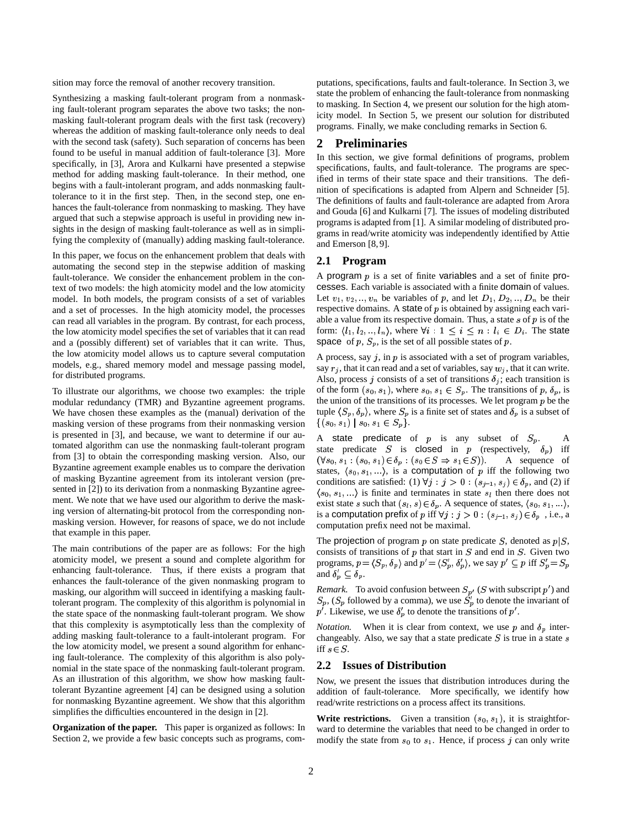sition may force the removal of another recovery transition.

Synthesizing a masking fault-tolerant program from a nonmasking fault-tolerant program separates the above two tasks; the nonmasking fault-tolerant program deals with the first task (recovery) whereas the addition of masking fault-tolerance only needs to deal with the second task (safety). Such separation of concerns has been found to be useful in manual addition of fault-tolerance [3]. More specifically, in [3], Arora and Kulkarni have presented a stepwise method for adding masking fault-tolerance. In their method, one begins with a fault-intolerant program, and adds nonmasking faulttolerance to it in the first step. Then, in the second step, one enhances the fault-tolerance from nonmasking to masking. They have argued that such a stepwise approach is useful in providing new insights in the design of masking fault-tolerance as well as in simplifying the complexity of (manually) adding masking fault-tolerance.

In this paper, we focus on the enhancement problem that deals with automating the second step in the stepwise addition of masking fault-tolerance. We consider the enhancement problem in the context of two models: the high atomicity model and the low atomicity model. In both models, the program consists of a set of variables and a set of processes. In the high atomicity model, the processes can read all variables in the program. By contrast, for each process, the low atomicity model specifies the set of variables that it can read and a (possibly different) set of variables that it can write. Thus, the low atomicity model allows us to capture several computation models, e.g., shared memory model and message passing model, for distributed programs.

To illustrate our algorithms, we choose two examples: the triple modular redundancy (TMR) and Byzantine agreement programs. We have chosen these examples as the (manual) derivation of the masking version of these programs from their nonmasking version is presented in [3], and because, we want to determine if our automated algorithm can use the nonmasking fault-tolerant program from [3] to obtain the corresponding masking version. Also, our Byzantine agreement example enables us to compare the derivation of masking Byzantine agreement from its intolerant version (presented in [2]) to its derivation from a nonmasking Byzantine agreement. We note that we have used our algorithm to derive the masking version of alternating-bit protocol from the corresponding nonmasking version. However, for reasons of space, we do not include that example in this paper.

The main contributions of the paper are as follows: For the high atomicity model, we present a sound and complete algorithm for enhancing fault-tolerance. Thus, if there exists a program that enhances the fault-tolerance of the given nonmasking program to masking, our algorithm will succeed in identifying a masking faulttolerant program. The complexity of this algorithm is polynomial in the state space of the nonmasking fault-tolerant program. We show that this complexity is asymptotically less than the complexity of adding masking fault-tolerance to a fault-intolerant program. For the low atomicity model, we present a sound algorithm for enhancing fault-tolerance. The complexity of this algorithm is also polynomial in the state space of the nonmasking fault-tolerant program. As an illustration of this algorithm, we show how masking faulttolerant Byzantine agreement [4] can be designed using a solution for nonmasking Byzantine agreement. We show that this algorithm simplifies the difficulties encountered in the design in [2].

**Organization of the paper.** This paper is organized as follows: In Section 2, we provide a few basic concepts such as programs, com-

putations, specifications, faults and fault-tolerance. In Section 3, we state the problem of enhancing the fault-tolerance from nonmasking to masking. In Section 4, we present our solution for the high atomicity model. In Section 5, we present our solution for distributed programs. Finally, we make concluding remarks in Section 6.

# **2 Preliminaries**

In this section, we give formal definitions of programs, problem specifications, faults, and fault-tolerance. The programs are specified in terms of their state space and their transitions. The definition of specifications is adapted from Alpern and Schneider [5]. The definitions of faults and fault-tolerance are adapted from Arora and Gouda [6] and Kulkarni [7]. The issues of modeling distributed programs is adapted from [1]. A similar modeling of distributed programs in read/write atomicity was independently identified by Attie and Emerson [8, 9].

#### **2.1 Program**

A program  $p$  is a set of finite variables and a set of finite processes. Each variable is associated with a finite domain of values. Let  $v_1, v_2, \ldots, v_n$  be variables of p, and let  $D_1, D_2, \ldots, D_n$  be their respective domains. A state of  $p$  is obtained by assigning each variable a value from its respective domain. Thus, a state  $s$  of  $p$  is of the form:  $\langle l_1, l_2, ..., l_n \rangle$ , where  $\forall i : 1 \leq i \leq n : l_i \in D_i$ . The state space of p,  $S_p$ , is the set of all possible states of p.

A process, say  $j$ , in  $p$  is associated with a set of program variables, say  $r_j$ , that it can read and a set of variables, say  $w_j$ , that it can write. Also, process j consists of a set of transitions  $\delta_j$ ; each transition is of the form  $(s_0, s_1)$ , where  $s_0, s_1 \in S_p$ . The transitions of p,  $\delta_p$ , is the union of the transitions of its processes. We let program  $p$  be the tuple  $\langle S_p, \delta_p \rangle$ , where  $S_p$  is a finite set of states and  $\delta_p$  is a subset of  $\{(s_0, s_1) \mid s_0, s_1 \in S_p\}.$ 

A state predicate of  $p$  is any subset of  $S_p$ . A state predicate S is closed in p (respectively,  $\delta_p$ ) iff =0 K> - #L=>D -? 1M<@5#6=>"1N4POQ -A sequence of states,  $\langle s_0, s_1, \ldots \rangle$ , is a computation of p iff the following two conditions are satisfied: (1)  $\forall j : j > 0 : (s_{j-1}, s_j) \in \delta_p$ , and (2) if  $\langle s_0, s_1, \ldots \rangle$  is finite and terminates in state  $s_i$  then there does not exist state s such that  $(s_l, s) \in \delta_p$ . A sequence of states,  $\langle s_0, s_1, \ldots \rangle$ , is a computation prefix of p iff  $\forall j : j > 0 : (s_{j-1}, s_j) \in \delta_p$ , i.e., a computation prefix need not be maximal.

The projection of program  $p$  on state predicate  $S$ , denoted as  $p|S$ , consists of transitions of  $p$  that start in  $S$  and end in  $S$ . Given two programs,  $p = \langle S_p, \delta_p \rangle$  and  $p' = \langle S_p', \delta_p' \rangle$ , we say  $p' \subseteq p$  iff  $S_p' = S_p$ and  $\delta'_p \subseteq \delta_p$ .

*Remark.* To avoid confusion between  $S_{p'}$  (S with subscript  $p'$ ) and  $S_p$ ,  $(S_p$  followed by a comma), we use  $S_p'$  to denote the invariant of  $p'$ . Likewise, we use  $\delta_p'$  to denote the transitions of  $p'$ .

*Notation.* When it is clear from context, we use p and  $\delta_p$  interchangeably. Also, we say that a state predicate  $S$  is true in a state  $s$ iff  $s \in S$ .

## **2.2 Issues of Distribution**

Now, we present the issues that distribution introduces during the addition of fault-tolerance. More specifically, we identify how read/write restrictions on a process affect its transitions.

**Write restrictions.** Given a transition  $(s_0, s_1)$ , it is straightforward to determine the variables that need to be changed in order to modify the state from  $s_0$  to  $s_1$ . Hence, if process j can only write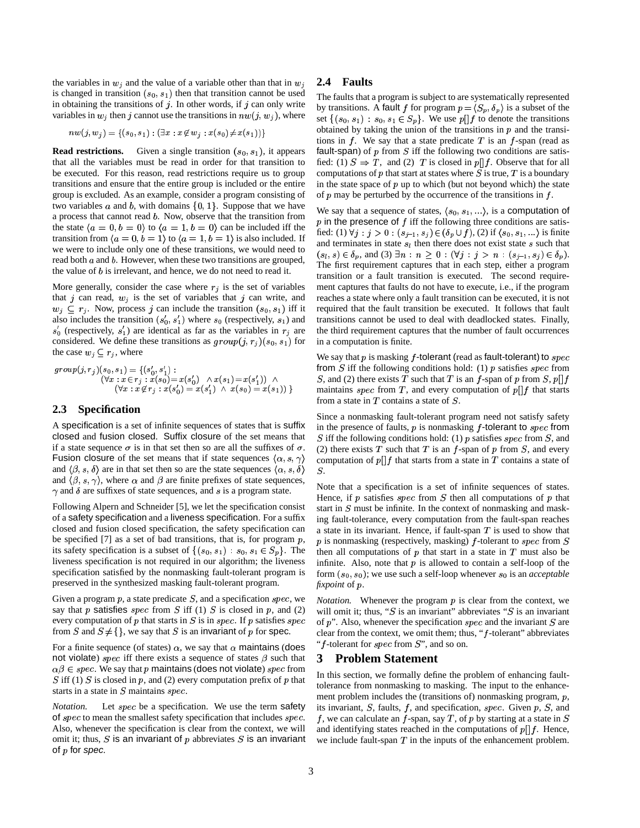the variables in  $w_i$  and the value of a variable other than that in  $w_i$ is changed in transition  $(s_0, s_1)$  then that transition cannot be used in obtaining the transitions of  $j$ . In other words, if  $j$  can only write variables in  $w_j$  then j cannot use the transitions in  $nw(j, w_j)$ , where

$$
nw(j,w_j) = \{(s_0,s_1) : (\exists x : x \not\in w_j : x(s_0) \!\neq\! x(s_1))\}
$$

**Read restrictions.** Given a single transition  $(s_0, s_1)$ , it appears that all the variables must be read in order for that transition to be executed. For this reason, read restrictions require us to group transitions and ensure that the entire group is included or the entire group is excluded. As an example, consider a program consisting of two variables  $a$  and  $b$ , with domains  $\{0, 1\}$ . Suppose that we have a process that cannot read  $b$ . Now, observe that the transition from the state  $\langle a = 0, b = 0 \rangle$  to  $\langle a = 1, b = 0 \rangle$  can be included iff the transition from  $\langle a = 0, b = 1 \rangle$  to  $\langle a = 1, b = 1 \rangle$  is also included. If we were to include only one of these transitions, we would need to read both  $a$  and  $b$ . However, when these two transitions are grouped, the value of  $b$  is irrelevant, and hence, we do not need to read it.

More generally, consider the case where  $r_j$  is the set of variables that j can read,  $w_j$  is the set of variables that j can write, and  $w_j \subseteq r_j$ . Now, process j can include the transition  $(s_0, s_1)$  iff it also includes the transition  $(s'_0, s'_1)$  where  $s_0$  (respectively,  $s_1$ ) and  $s'_{0}$  (respectively,  $s'_{1}$ ) are identical as far as the variables in  $r_{j}$  are considered. We define these transitions as  $group(j, r_j)(s_0, s_1)$  for the case  $w_j \subseteq r_j$ , where

$$
group(j, r_j)(s_0, s_1) = \{(s'_0, s'_1) : (s_0, s'_1) : (s'_0, s'_1) : (s'_0, s'_1) \land s'_1 \land (s'_1, s'_2) = x(s'_0) \land x(s_1) = x(s'_1) \land s'_1 \land (s'_0) = x(s_1) \} \qquad \text{if } (s'_1, s'_2) = x(s'_1) \land x(s_0) = x(s_1) \} \qquad \text{if } (s'_2, s'_1) = x(s'_2) \land x(s_0) = x(s_1) \} \qquad \text{if } (s'_3, s'_1) = x(s'_3) \land x(s_0) = x(s_1) \} \qquad \text{if } (s'_3, s'_3) = x(s'_3) \land x(s_0) = x(s_1) \} \qquad \text{if } (s'_3, s'_3) = x(s'_3) \land x(s_0) = x(s'_3) \land x(s_0) = x(s'_3) \land x(s_0) = x(s'_3) \land x(s_0) = x(s'_3) \land x(s_0) = x(s'_3) \land x(s_0) = x(s'_3) \land x(s_0) = x(s'_3) \land x(s_0) = x(s'_3) \land x(s_0) = x(s'_3) \land x(s_0) = x(s'_3) \land x(s_0) = x(s'_3) \land x(s_0) = x(s'_3) \land x(s_0) = x(s'_3) \land x(s_0) = x(s'_3) \land x(s_0) = x(s'_3) \land x(s_0) = x(s'_3) \land x(s_0) = x(s'_3) \land x(s_0) = x(s'_3) \land x(s_0) = x(s'_3) \land x(s_0) = x(s'_3) \land x(s_0) = x(s'_3) \land x(s_0) = x(s'_3) \land x(s_0) = x(s'_3) \land x(s_0) = x(s'_3) \land x(s_0) = x(s'_3) \land x(s_0) = x(s'_3) \land x(s_0) = x(s'_3) \land x(s_0) = x(s'_3) \land x(s_0) = x(s'_3) \land x(s_0) = x(s'_3) \land x(s_0) = x(s'_3) \land x(s_0) = x(s'_3) \land x(s_0) = x(s'_3) \land x(s_0) = x(s'_3) \land x(s_0) = x(s'_3) \land x(s_0) = x(s'_3) \land x(s_0
$$

# **2.3 Specification**

A specification is a set of infinite sequences of states that is suffix closed and fusion closed. Suffix closure of the set means that if a state sequence  $\sigma$  is in that set then so are all the suffixes of  $\sigma$ . Fusion closure of the set means that if state sequences  $\langle \alpha, s, \gamma \rangle$ and  $\langle \beta, s, \delta \rangle$  are in that set then so are the state sequences  $\langle \alpha, s, \delta \rangle$ and  $(\beta, s, \gamma)$ , where  $\alpha$  and  $\beta$  are finite prefixes of state sequences,  $\gamma$  and  $\delta$  are suffixes of state sequences, and s is a program state.

Following Alpern and Schneider [5], we let the specification consist of a safety specification and a liveness specification. For a suffix closed and fusion closed specification, the safety specification can be specified [7] as a set of bad transitions, that is, for program  $p$ ,  $p$  is none its safety specification is a subset of  $\{(s_0, s_1) : s_0, s_1 \in S_p\}$ . The liveness specification is not required in our algorithm; the liveness specification satisfied by the nonmasking fault-tolerant program is preserved in the synthesized masking fault-tolerant program.

Given a program  $p$ , a state predicate  $S$ , and a specification  $spec$ , we say that p satisfies spec from S iff (1) S is closed in p, and (2) every computation of p that starts in S is in spec. If p satisfies spec of p". from S and  $S \neq \{\}$ , we say that S is an invariant of p for spec.

For a finite sequence (of states)  $\alpha$ , we say that  $\alpha$  maintains (does not violate) *spec* iff there exists a sequence of states  $\beta$  such that **3**  $\alpha\beta \in spec.$  We say that p maintains (does not violate) spec from  $\alpha$ S iff (1) S is closed in p, and (2) every computation prefix of p that  $\frac{11}{12}$ starts in a state in  $S$  maintains  $spec.$ 

*Notation.* Let *spec* be a specification. We use the term safety of  $spec$  to mean the smallest safety specification that includes  $spec$ . Also, whenever the specification is clear from the context, we will omit it; thus, S is an invariant of  $p$  abbreviates S is an invariant of  $p$  for spec.

## **2.4 Faults**

The faults that a program is subject to are systematically represented by transitions. A fault f for program  $p = \langle S_p, \delta_p \rangle$  is a subset of the set  $\{(s_0, s_1) : s_0, s_1 \in S_p\}$ . We use  $p[|f]$  to denote the transitions obtained by taking the union of the transitions in  $p$  and the transitions in  $f$ . We say that a state predicate  $T$  is an  $f$ -span (read as fault-span) of  $p$  from  $S$  iff the following two conditions are satisfied: (1)  $S \Rightarrow T$ , and (2) T is closed in p[|f. Observe that for all computations of p that start at states where  $S$  is true,  $T$  is a boundary in the state space of  $p$  up to which (but not beyond which) the state of  $p$  may be perturbed by the occurrence of the transitions in  $f$ .

We say that a sequence of states,  $\langle s_0, s_1, \ldots \rangle$ , is a computation of  $p$  in the presence of  $f$  iff the following three conditions are satisfied: (1)  $\forall j : j > 0 : (s_{j-1}, s_j) \in (\delta_p \cup f),$  (2) if  $\langle s_0, s_1, \ldots \rangle$  is finite and terminates in state  $s_l$  then there does not exist state  $s$  such that  $(s_i, s) \in \delta_p$ , and (3)  $\exists n : n \geq 0 : (\forall j : j > n : (s_{j-1}, s_j) \in \delta_p)$ . The first requirement captures that in each step, either a program transition or a fault transition is executed. The second requirement captures that faults do not have to execute, i.e., if the program reaches a state where only a fault transition can be executed, it is not required that the fault transition be executed. It follows that fault transitions cannot be used to deal with deadlocked states. Finally, the third requirement captures that the number of fault occurrences in a computation is finite.

 $\Box$ ) maintains *spec* from T, and every computation of  $p \upharpoonright f$  that starts We say that  $p$  is masking  $f$ -tolerant (read as fault-tolerant) to  $spec$ from  $S$  iff the following conditions hold: (1)  $p$  satisfies spec from S, and (2) there exists T such that T is an f-span of p from S,  $p||f$ from a state in  $T$  contains a state of  $S$ .

> Since a nonmasking fault-tolerant program need not satisfy safety in the presence of faults,  $p$  is nonmasking  $f$ -tolerant to  $spec$  from S iff the following conditions hold: (1)  $p$  satisfies  $spec$  from  $S$ , and (2) there exists  $T$  such that  $T$  is an  $f$ -span of  $p$  from  $S$ , and every computation of  $p||f$  that starts from a state in T contains a state of  $S$ .

Note that a specification is a set of infinite sequences of states. Hence, if  $p$  satisfies  $spec$  from  $S$  then all computations of  $p$  that start in  $S$  must be infinite. In the context of nonmasking and masking fault-tolerance, every computation from the fault-span reaches a state in its invariant. Hence, if fault-span  $T$  is used to show that p is nonmasking (respectively, masking)  $f$ -tolerant to  $spec$  from  $S$ then all computations of  $p$  that start in a state in  $T$  must also be infinite. Also, note that  $p$  is allowed to contain a self-loop of the form  $(s_0, s_0)$ ; we use such a self-loop whenever  $s_0$  is an *acceptable fixpoint* of .

*Notation*. Whenever the program  $p$  is clear from the context, we will omit it; thus, " $S$  is an invariant" abbreviates " $S$  is an invariant of p". Also, whenever the specification  $spec$  and the invariant S are clear from the context, we omit them; thus, " $f$ -tolerant" abbreviates " $f$ -tolerant for *spec* from  $S$ ", and so on.

## **3 Problem Statement**

In this section, we formally define the problem of enhancing faulttolerance from nonmasking to masking. The input to the enhancement problem includes the (transitions of) nonmasking program, p, its invariant, S, faults, f, and specification, spec. Given  $p$ , S, and f, we can calculate an f-span, say T, of p by starting at a state in S and identifying states reached in the computations of  $p[|f]$ . Hence, we include fault-span  $T$  in the inputs of the enhancement problem.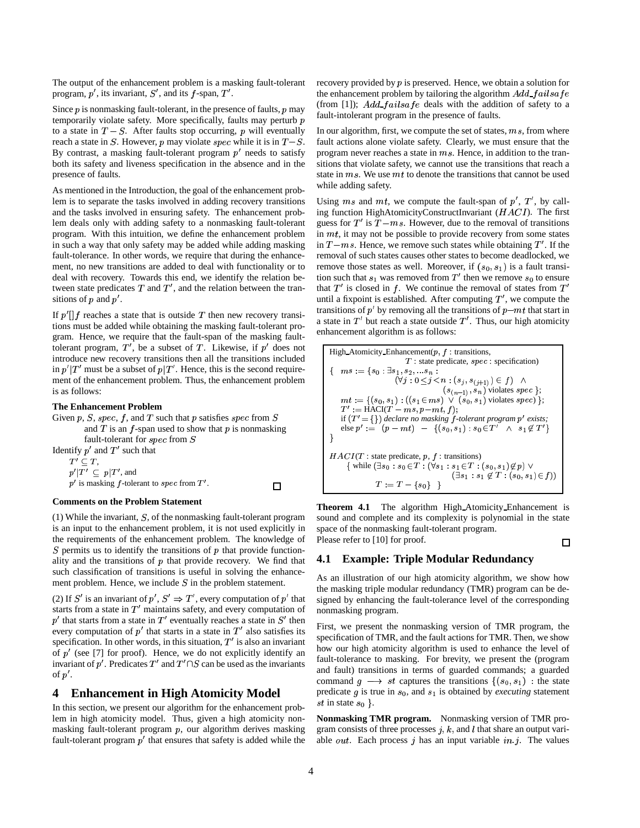The output of the enhancement problem is a masking fault-tolerant program,  $p'$ , its invariant,  $S'$ , and its  $f$ -span,  $T'$ .

Since p is nonmasking fault-tolerant, in the presence of faults, p may  $\int_{0}^{110}$ temporarily violate safety. More specifically, faults may perturb  $p$ to a state in  $T - S$ . After faults stop occurring, p will eventually reach a state in S. However, p may violate spec while it is in  $T-S$ . fault action-By contrast, a masking fault-tolerant program  $p'$  needs to satisfy both its safety and liveness specification in the absence and in the presence of faults.

As mentioned in the Introduction, the goal of the enhancement problem is to separate the tasks involved in adding recovery transitions and the tasks involved in ensuring safety. The enhancement problem deals only with adding safety to a nonmasking fault-tolerant program. With this intuition, we define the enhancement problem in such a way that only safety may be added while adding masking fault-tolerance. In other words, we require that during the enhancement, no new transitions are added to deal with functionality or to deal with recovery. Towards this end, we identify the relation between state predicates T and T', and the relation between the transitions of  $p$  and  $p'$ .

If  $p'$  a reaches a state that is outside T then new recovery transitions must be added while obtaining the masking fault-tolerant program. Hence, we require that the fault-span of the masking faulttolerant program,  $T'$ , be a subset of T. Likewise, if  $p'$  does not introduce new recovery transitions then all the transitions included in  $p$ <sup> $\mid$ </sup> $T'$  must be a subset of  $p$  $\mid$  $T'$ . Hence, this is the second requirement of the enhancement problem. Thus, the enhancement problem is as follows:

### **The Enhancement Problem**

Given p, S, spec, f, and T such that p satisfies spec from  $S$ and  $T$  is an  $f$ -span used to show that  $p$  is nonmasking fault-tolerant for  $spec$  from  $S$ Identify  $p'$  and  $T'$  such that  $T' \subset T$ ,  $p'$   $|T' \subset p|$   $T'$  , and  $p'$  is masking f-tolerant to spec from T'.  $\Box$ 

#### **Comments on the Problem Statement**

(1) While the invariant,  $S$ , of the nonmasking fault-tolerant program is an input to the enhancement problem, it is not used explicitly in the requirements of the enhancement problem. The knowledge of  $S$  permits us to identify the transitions of  $p$  that provide functionality and the transitions of  $p$  that provide recovery. We find that such classification of transitions is useful in solving the enhancement problem. Hence, we include  $S$  in the problem statement.

(2) If S' is an invariant of  $p'$ ,  $S' \Rightarrow T'$ , every computation of  $p'$  that starts from a state in  $T'$  maintains safety, and every computation of  $p'$  that starts from a state in  $T'$  eventually reaches a state in  $S'$  then every computation of  $p'$  that starts in a state in  $T'$  also satisfies its specification. In other words, in this situation,  $T'$  is also an invariant of  $p'$  (see [7] for proof). Hence, we do not explicitly identify an invariant of  $p'$ . Predicates  $T'$  and  $T' \cap S$  can be used as the invariants of  $p'$ .

# **4 Enhancement in High Atomicity Model**

In this section, we present our algorithm for the enhancement problem in high atomicity model. Thus, given a high atomicity nonmasking fault-tolerant program  $p$ , our algorithm derives masking fault-tolerant program  $p'$  that ensures that safety is added while the

recovery provided by  $p$  is preserved. Hence, we obtain a solution for the enhancement problem by tailoring the algorithm  $Add\_failsafe$ (from [1]);  $Add\_failsafe$  deals with the addition of safety to a fault-intolerant program in the presence of faults.

In our algorithm, first, we compute the set of states,  $ms$ , from where fault actions alone violate safety. Clearly, we must ensure that the program never reaches a state in  $ms$ . Hence, in addition to the transitions that violate safety, we cannot use the transitions that reach a state in  $ms$ . We use  $mt$  to denote the transitions that cannot be used while adding safety.

Using ms and mt, we compute the fault-span of  $p'$ ,  $T'$ , by calling function HighAtomicityConstructInvariant  $(HACI)$ . The first guess for  $T'$  is  $T - ms$ . However, due to the removal of transitions in  $mt$ , it may not be possible to provide recovery from some states in  $T-ms$ . Hence, we remove such states while obtaining  $T'$ . If the removal of such states causes other states to become deadlocked, we remove those states as well. Moreover, if  $(s_0, s_1)$  is a fault transition such that  $s_1$  was removed from  $T'$  then we remove  $s_0$  to ensure that  $T'$  is closed in f. We continue the removal of states from  $T'$ until a fixpoint is established. After computing  $T'$ , we compute the transitions of  $p'$  by removing all the transitions of  $p-mt$  that start in a state in  $T'$  but reach a state outside  $T'$ . Thus, our high atomicity enhancement algorithm is as follows:



**Theorem 4.1** The algorithm High Atomicity Enhancement is sound and complete and its complexity is polynomial in the state space of the nonmasking fault-tolerant program. Please refer to [10] for proof.  $\Box$ 

#### **4.1 Example: Triple Modular Redundancy**

As an illustration of our high atomicity algorithm, we show how the masking triple modular redundancy (TMR) program can be designed by enhancing the fault-tolerance level of the corresponding nonmasking program.

First, we present the nonmasking version of TMR program, the specification of TMR, and the fault actions for TMR. Then, we show how our high atomicity algorithm is used to enhance the level of fault-tolerance to masking. For brevity, we present the (program and fault) transitions in terms of guarded commands; a guarded command  $g \longrightarrow st$  captures the transitions  $\{(s_0, s_1) : \text{the state}\}$ predicate  $g$  is true in  $s_0$ , and  $s_1$  is obtained by *executing* statement st in state  $s_0$  }.

**Nonmasking TMR program.** Nonmasking version of TMR program consists of three processes  $j, k$ , and  $l$  that share an output variable *out*. Each process  $j$  has an input variable  $in j$ . The values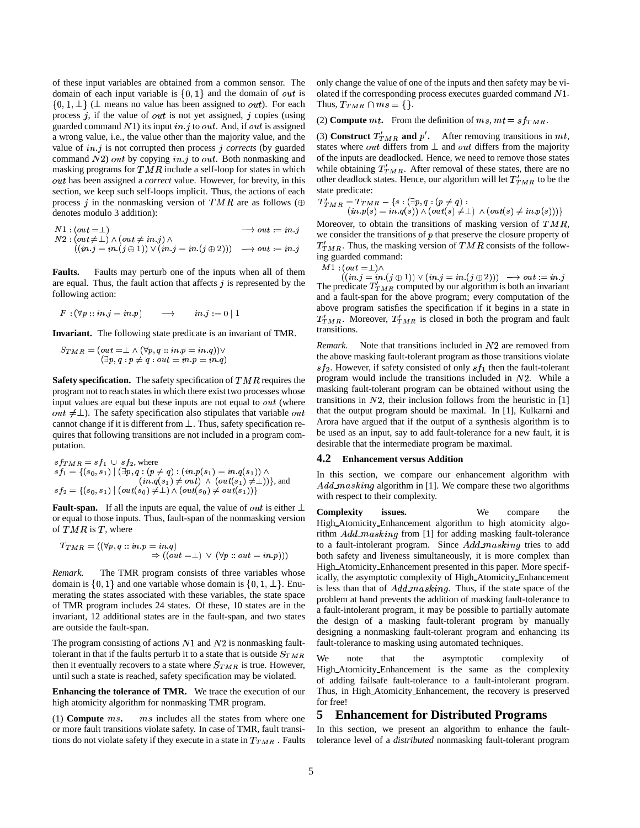of these input variables are obtained from a common sensor. The domain of each input variable is  $\{0, 1\}$  and the domain of *out* is  $\{0, 1, \perp\}$  ( $\perp$  means no value has been assigned to *out*). For each process  $j$ , if the value of out is not yet assigned,  $j$  copies (using guarded command  $N1$ ) its input in j to out. And, if out is assigned a wrong value, i.e., the value other than the majority value, and the value of  $in j$  is not corrupted then process  $j$  *corrects* (by guarded command  $N2$ ) out by copying in j to out. Both nonmasking and masking programs for  $TMR$  include a self-loop for states in which out has been assigned a *correct* value. However, for brevity, in this section, we keep such self-loops implicit. Thus, the actions of each process j in the nonmasking version of TMR are as follows ( $\oplus$ denotes modulo 3 addition):

$$
N1: (out = \perp) \longrightarrow out := in.j
$$
  
\n
$$
N2: (out \neq \perp) \land (out \neq in.j) \land
$$
  
\n
$$
((in.j = in.(j \oplus 1)) \lor (in.j = in.(j \oplus 2))) \longrightarrow out := in.j
$$
  
\n
$$
T'_T M
$$

**Faults.** Faults may perturb one of the inputs when all of them are equal. Thus, the fault action that affects  $j$  is represented by the following action:

$$
F:(\forall p::in.j=in.p)\qquad\mathop{\longrightarrow}\qquad in.j:=0\mid 1
$$

**Invariant.** The following state predicate is an invariant of TMR.

$$
S_{TMR}=(out=\perp \wedge (\forall p,q::in.p=in.q))\vee \newline (\exists p,q: p\neq q: out=in.p=in.q)
$$

**Safety specification.** The safety specification of  $TMR$  requires the program not to reach states in which there exist two processes whose input values are equal but these inputs are not equal to  $out$  (where *out*  $\neq \perp$ ). The safety specification also stipulates that variable *out* that cannot change if it is different from  $\perp$ . Thus, safety specification requires that following transitions are not included in a program computation.

$$
sf_{1} = sf_{1} \cup sf_{2}, \text{where}
$$
  
\n
$$
sf_{1} = \{(s_{0}, s_{1}) \mid (\exists p, q : (p \neq q) : (in.p(s_{1}) = in.q(s_{1})) \land (in.q(s_{1}) \neq out) \land (out(s_{1}) \neq \perp))\}, \text{and}
$$
  
\n
$$
sf_{2} = \{(s_{0}, s_{1}) \mid (out(s_{0}) \neq \perp) \land (out(s_{0}) \neq out(s_{1}))\}
$$

**Fault-span.** If all the inputs are equal, the value of *out* is either  $\perp$  complexity or equal to those inputs. Thus, fault-span of the nonmasking version of  $TMR$  is  $T$ , where

$$
T_{TMR} = ((\forall p, q:: in.p = in.q) \qquad \Rightarrow ((out = \bot) \vee (\forall p:: out = in.p)))
$$

*Remark.* The TMR program consists of three variables whose domain is  $\{0, 1\}$  and one variable whose domain is  $\{0, 1, \perp\}$ . Enumerating the states associated with these variables, the state space of TMR program includes 24 states. Of these, 10 states are in the invariant, 12 additional states are in the fault-span, and two states are outside the fault-span.

The program consisting of actions  $N1$  and  $N2$  is nonmasking faulttolerant in that if the faults perturb it to a state that is outside  $S_{TMR}$  W<sub>o</sub>  $\mathbf{w}$ then it eventually recovers to a state where  $S_{TMR}$  is true. However, until such a state is reached, safety specification may be violated.

**Enhancing the tolerance of TMR.** We trace the execution of our high atomicity algorithm for nonmasking TMR program.

(1) **Compute**  $ms$ .  $ms$  includes all the states from where one or more fault transitions violate safety. In case of TMR, fault transitions do not violate safety if they execute in a state in  $T_{TMR}$  . Faults

only change the value of one of the inputs and then safety may be violated if the corresponding process executes guarded command  $N1$ . Thus,  $T_{TMR} \cap ms = \{\}.$ 

(2) **Compute**  $mt$ . From the definition of  $ms$ ,  $mt = sf_{TMR}$ .

(3) **Construct**  $T'_{TMR}$  and p'. After removing transitions in  $mt$ , states where *out* differs from  $\perp$  and *out* differs from the majority of the inputs are deadlocked. Hence, we need to remove those states while obtaining  $T'_{TMR}$ . After removal of these states, there are no other deadlock states. Hence, our algorithm will let  $T'_{TMR}$  to be the state predicate:

 $T'_{TMR} = T_{TMR} - \{s: (\exists p,q:(p \neq q):\ (p,q) \in \mathbb{Z}\} \setminus \{(out(s) \neq 1) \land (out(s) \neq in.p(s)))\}$ 

(i))  $\rightarrow out := in \, j$   $T'_{TMR}$ . Thus, the masking version of TMR consists of the follow-Moreover, to obtain the transitions of masking version of  $TMR$ , we consider the transitions of  $p$  that preserve the closure property of ing guarded command:

 $M1$  : (out  $=\perp$  )  $\wedge$ 

 $((in j = in (j \oplus 1)) \vee (in j = in (j \oplus 2))) \longrightarrow out := in j$ The predicate  $T'_{TMR}$  computed by our algorithm is both an invariant and a fault-span for the above program; every computation of the above program satisfies the specification if it begins in a state in  $T'_{TMR}$ . Moreover,  $T'_{TMR}$  is closed in both the program and fault transitions.

Remark. Note that transitions included in N2 are removed from the above masking fault-tolerant program as those transitions violate  $sf_2$ . However, if safety consisted of only  $sf_1$  then the fault-tolerant program would include the transitions included in  $N2$ . While a masking fault-tolerant program can be obtained without using the transitions in  $N2$ , their inclusion follows from the heuristic in [1] that the output program should be maximal. In [1], Kulkarni and Arora have argued that if the output of a synthesis algorithm is to be used as an input, say to add fault-tolerance for a new fault, it is desirable that the intermediate program be maximal.

#### **4.2 Enhancement versus Addition**

In this section, we compare our enhancement algorithm with  $Add\_masking$  algorithm in [1]. We compare these two algorithms with respect to their complexity.

**Complexity issues.** We compare the High Atomicity Enhancement algorithm to high atomicity algorithm  $Add\_masking$  from [1] for adding masking fault-tolerance to a fault-intolerant program. Since  $Add\_masking$  tries to add both safety and liveness simultaneously, it is more complex than High Atomicity Enhancement presented in this paper. More specifically, the asymptotic complexity of High Atomicity Enhancement is less than that of  $Add\_masking$ . Thus, if the state space of the problem at hand prevents the addition of masking fault-tolerance to a fault-intolerant program, it may be possible to partially automate the design of a masking fault-tolerant program by manually designing a nonmasking fault-tolerant program and enhancing its fault-tolerance to masking using automated techniques.

We note that the asymptotic complexity of High Atomicity Enhancement is the same as the complexity of adding failsafe fault-tolerance to a fault-intolerant program. Thus, in High Atomicity Enhancement, the recovery is preserved for free!

# **5 Enhancement for Distributed Programs**

In this section, we present an algorithm to enhance the faulttolerance level of a *distributed* nonmasking fault-tolerant program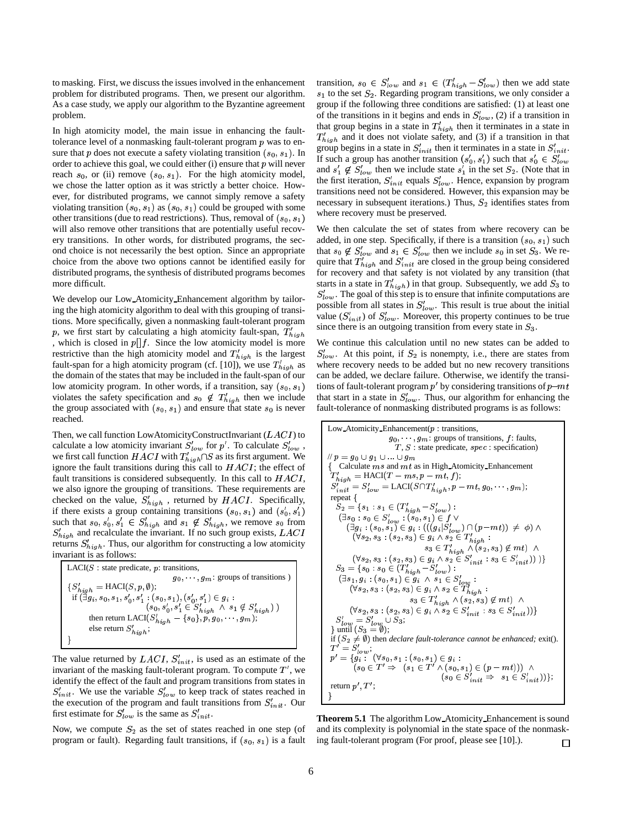to masking. First, we discuss the issues involved in the enhancement problem for distributed programs. Then, we present our algorithm. As a case study, we apply our algorithm to the Byzantine agreement problem.

In high atomicity model, the main issue in enhancing the faulttolerance level of a nonmasking fault-tolerant program  $p$  was to ensure that p does not execute a safety violating transition  $(s_0, s_1)$ . In order to achieve this goal, we could either  $(i)$  ensure that  $p$  will never reach  $s_0$ , or (ii) remove  $(s_0, s_1)$ . For the high atomicity model, we chose the latter option as it was strictly a better choice. However, for distributed programs, we cannot simply remove a safety violating transition  $(s_0, s_1)$  as  $(s_0, s_1)$  could be grouped with some other transitions (due to read restrictions). Thus, removal of  $(s_0, s_1)$ ? will also remove other transitions that are potentially useful recovery transitions. In other words, for distributed programs, the second choice is not necessarily the best option. Since an appropriate choice from the above two options cannot be identified easily for distributed programs, the synthesis of distributed programs becomes more difficult.

We develop our Low Atomicity Enhancement algorithm by tailoring the high atomicity algorithm to deal with this grouping of transitions. More specifically, given a nonmasking fault-tolerant program p, we first start by calculating a high atomicity fault-span,  $T'_{high}$ <sup>since</sup> , which is closed in  $p[]f$ . Since the low atomicity model is more restrictive than the high atomicity model and  $T'_{high}$  is the largest fault-span for a high atomicity program (cf. [10]), we use  $T'_{high}$  as wh the domain of the states that may be included in the fault-span of our low atomicity program. In other words, if a transition, say  $(s_0, s_1)$ violates the safety specification and  $s_0 \notin T'_{high}$  then we include the group associated with  $(s_0, s_1)$  and ensure that state  $s_0$  is never reached.

Then, we call function LowAtomicityConstructInvariant  $(LACI)$  to calculate a low atomicity invariant  $S'_{low}$  for p'. To calculate  $S'_{low}$ , we first call function  $HACI$  with  $T'_{high} \cap S$  as its first argument. We ignore the fault transitions during this call to  $HACI$ ; the effect of fault transitions is considered subsequently. In this call to  $HACI$ , we also ignore the grouping of transitions. These requirements are checked on the value,  $S'_{high}$ , returned by  $HACI$ . Specifically, if there exists a group containing transitions  $(s_0, s_1)$  and  $(s'_0, s'_1)$ such that  $s_0, s'_0, s'_1 \in S'_{high}$  and  $s_1 \notin S'_{high}$ , we remove  $s_0$  from  $S'_{high}$  and recalculate the invariant. If no such group exists,  $LACI$ returns  $S'_{high}$ . Thus, our algorithm for constructing a low atomicity invariant is as follows:

| $LACI(S)$ : state predicate, p: transitions,                                 |
|------------------------------------------------------------------------------|
| $g_0, \ldots, g_m$ : groups of transitions)                                  |
| ${S'_{high} = \text{HACI}(S, p, \emptyset);}$                                |
| if $(\exists g_i, s_0, s_1, s'_0, s'_1 : (s_0, s_1), (s'_0, s'_1) \in g_i$ : |
| $(s_0, s'_0, s'_1 \in S'_{high} \land s_1 \notin S'_{high})$ )               |
| then return LACI( $S'_{high}$ = { $s_0$ }, $p, g_0, \dots, g_m$ };           |
| else return $S'_{high}$ ;                                                    |
|                                                                              |

The value returned by  $LACI$ ,  $S'_{init}$ , is used as an estimate of the invariant of the masking fault-tolerant program. To compute  $T'$ , we identify the effect of the fault and program transitions from states in  $S'_{init}$ . We use the variable  $S'_{low}$  to keep track of states reached in the execution of the program and fault transitions from  $S'_{init}$ . Our first estimate for  $S'_{low}$  is the same as  $S'_{init}$ .

Now, we compute  $S_2$  as the set of states reached in one step (of program or fault). Regarding fault transitions, if  $(s_0, s_1)$  is a fault

transition,  $s_0 \in S'_{low}$  and  $s_1 \in (T'_{high} - S'_{low})$  then we add state  $s_1$  to the set  $S_2$ . Regarding program transitions, we only consider a group if the following three conditions are satisfied: (1) at least one of the transitions in it begins and ends in  $S'_{low}$ , (2) if a transition in that group begins in a state in  $T'_{high}$  then it terminates in a state in  $T'_{high}$  and it does not violate safety, and (3) if a transition in that group begins in a state in  $S'_{init}$  then it terminates in a state in  $S'_{init}$ . If such a group has another transition  $(s'_0, s'_1)$  such that  $s'_0 \in S'_{low}$ and  $s'_1 \notin S'_{low}$  then we include state  $s'_1$  in the set  $S_2$ . (Note that in the first iteration,  $S'_{init}$  equals  $S'_{low}$ . Hence, expansion by program transitions need not be considered. However, this expansion may be necessary in subsequent iterations.) Thus,  $S_2$  identifies states from where recovery must be preserved.

We then calculate the set of states from where recovery can be added, in one step. Specifically, if there is a transition  $(s_0, s_1)$  such that  $s_0 \notin S'_{low}$  and  $s_1 \in S'_{low}$  then we include  $s_0$  in set  $S_3$ . We require that  $T'_{high}$  and  $S'_{init}$  are closed in the group being considered for recovery and that safety is not violated by any transition (that starts in a state in  $T'_{high}$ ) in that group. Subsequently, we add  $S_3$  to  $S'_{low}$ . The goal of this step is to ensure that infinite computations are possible from all states in  $S'_{low}$ . This result is true about the initial value  $(S'_{init})$  of  $S'_{low}$ . Moreover, this property continues to be true since there is an outgoing transition from every state in  $S_3$ .

) tions of fault-tolerant program  $p'$  by considering transitions of  $p$ —mt We continue this calculation until no new states can be added to  $S'_{low}$ . At this point, if  $S_2$  is nonempty, i.e., there are states from where recovery needs to be added but no new recovery transitions can be added, we declare failure. Otherwise, we identify the transithat start in a state in  $S'_{low}$ . Thus, our algorithm for enhancing the fault-tolerance of nonmasking distributed programs is as follows:

Low-Atomicity-Enhancement(p : transitions,  
\n
$$
g_0, \dots, g_m
$$
: groups of transitions,  $f$ : faults,  
\n $T$ ,  $S$ : state predicate,  $spec$ : specification)  
\n $\# p = g_0 \cup g_1 \cup \dots \cup g_m$   
\n{ Calculate ms and mt as in High-Atomicity-Enhancement  
\n $T'_{high} = HACI(T - ms, p - mt, f);$   
\n $S'_{init} = S'_{low} = LACI(S \cap T'_{high}, p - mt, g_0, \dots, g_m);$   
\nrepeat  
\n $S_2 = \{s_1 : s_1 \in (T'_{high} - S'_{low}) :$   
\n $(\exists s_0 : s_0 \in S'_{low} : (s_0, s_1) \in f \vee$   
\n $(\exists g_i : (s_0, s_1) \in g_i : (((g_i | S'_{low}) \cap (p - mt)) \neq \phi) \wedge$   
\n $(\forall s_2, s_3 : (s_2, s_3) \in g_i \wedge s_2 \in T'_{high} :$   
\n $s_3 \in T'_{high} \wedge (s_2, s_3) \notin mt) \wedge$   
\n $(\forall s_2, s_3 : (s_2, s_3) \in g_i \wedge s_2 \in S'_{init} : s_3 \in S'_{init})))$   
\n $S_3 = \{s_0 : s_0 \in (T'_{high} - S'_{low}) :$   
\n $(\exists s_1, g_i : (s_0, s_1) \in g_i \wedge s_1 \in S'_{low} :$   
\n $s_3 \in T'_{high} \wedge (s_2, s_3) \notin mt) \wedge$   
\n $(\forall s_2, s_3 : (s_2, s_3) \in g_i \wedge s_2 \in S'_{high} :$   
\n $s_3 \in T'_{high} \wedge (s_2, s_3) \notin mt) \wedge$   
\n $(\forall s_2, s_3 : (s_2, s_3) \in g_i \wedge s_2 \in S'_{init} : s_3 \in S'_{init})$ )}  
\n $S'_{low} = S'_{low} \cup S_3;$   
\n $\} until (S_3 = \emptyset);$ 

**Theorem 5.1** The algorithm Low Atomicity Enhancement is sound and its complexity is polynomial in the state space of the nonmasking fault-tolerant program (For proof, please see [10].).  $\Box$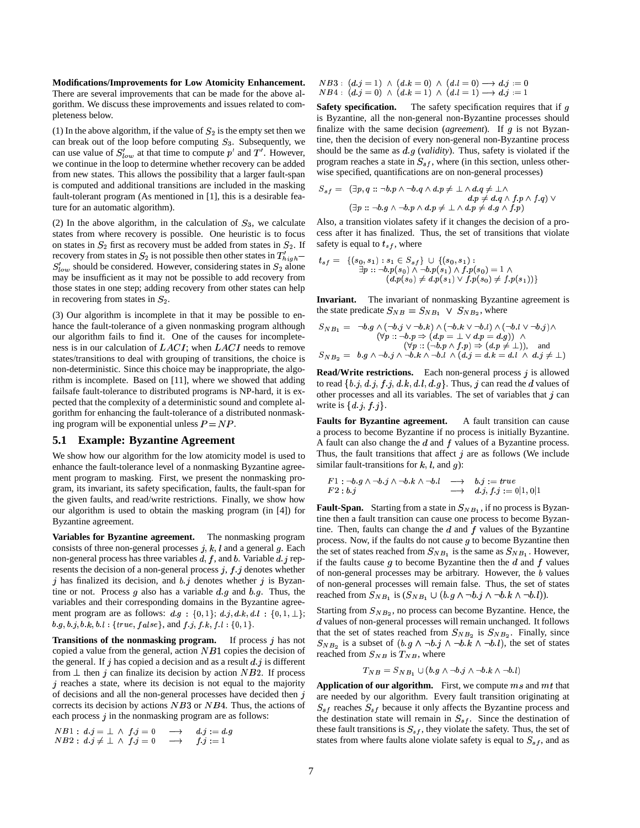**Modifications/Improvements for Low Atomicity Enhancement.** There are several improvements that can be made for the above algorithm. We discuss these improvements and issues related to completeness below.

(1) In the above algorithm, if the value of  $S_2$  is the empty set then we can break out of the loop before computing  $S_3$ . Subsequently, we can use value of  $S'_{low}$  at that time to compute  $p'$  and  $T'$ . However, we continue in the loop to determine whether recovery can be added from new states. This allows the possibility that a larger fault-span is computed and additional transitions are included in the masking fault-tolerant program (As mentioned in [1], this is a desirable feature for an automatic algorithm).

(2) In the above algorithm, in the calculation of  $S_3$ , we calculate states from where recovery is possible. One heuristic is to focus on states in  $S_2$  first as recovery must be added from states in  $S_2$ . If recovery from states in  $S_2$  is not possible then other states in  $T'_{high}$  =  $I_{\ell s}$  $S'_{low}$  should be considered. However, considering states in  $S_2$  alone may be insufficient as it may not be possible to add recovery from those states in one step; adding recovery from other states can help in recovering from states in  $S_2$ .

(3) Our algorithm is incomplete in that it may be possible to enhance the fault-tolerance of a given nonmasking program although our algorithm fails to find it. One of the causes for incompleteness is in our calculation of  $LACI$ ; when  $LACI$  needs to remove states/transitions to deal with grouping of transitions, the choice is non-deterministic. Since this choice may be inappropriate, the algorithm is incomplete. Based on [11], where we showed that adding failsafe fault-tolerance to distributed programs is NP-hard, it is expected that the complexity of a deterministic sound and complete algorithm for enhancing the fault-tolerance of a distributed nonmasking program will be exponential unless  $P = NP$ .

#### **5.1 Example: Byzantine Agreement**

We show how our algorithm for the low atomicity model is used to enhance the fault-tolerance level of a nonmasking Byzantine agreement program to masking. First, we present the nonmasking program, its invariant, its safety specification, faults, the fault-span for the given faults, and read/write restrictions. Finally, we show how our algorithm is used to obtain the masking program (in [4]) for Byzantine agreement.

**Variables for Byzantine agreement.** The nonmasking program consists of three non-general processes  $j, k, l$  and a general  $g$ . Each non-general process has three variables  $d, f$ , and  $b$ . Variable  $d, j$  represents the decision of a non-general process  $j, f, j$  denotes whether j has finalized its decision, and  $b$  j denotes whether j is Byzantine or not. Process  $g$  also has a variable  $d.g$  and  $b.g$ . Thus, the variables and their corresponding domains in the Byzantine agreement program are as follows:  $d.g. \{0,1\}$ ;  $d.j, d.k, d.l : \{0,1,1\}$ ; Star  $b.g, b.j, b.k, b.l: \{true, false\}, and f.j, f.k, f.l: \{0, 1\}.$ 

**Transitions of the nonmasking program.** If process j has not copied a value from the general, action  $NB1$  copies the decision of the general. If  $j$  has copied a decision and as a result  $d$   $j$  is different from  $\perp$  then j can finalize its decision by action NB2. If process  $j$  reaches a state, where its decision is not equal to the majority of decisions and all the non-general processes have decided then  $j$ corrects its decision by actions  $NB3$  or  $NB4$ . Thus, the actions of each process  $j$  in the nonmasking program are as follows:

$$
NB1: d.j = \bot \land f.j = 0 \longrightarrow d.j := d.g
$$
  

$$
NB2: d.j \neq \bot \land f.j = 0 \longrightarrow f.j := 1
$$

 $NB3: (d,j = 1) \wedge (d.k = 0) \wedge (d.l = 0) \longrightarrow d.j := 0$ <br>  $NB4: (d.j = 0) \wedge (d.k = 1) \wedge (d.l = 1) \longrightarrow d.j := 1$ 

**Safety specification.** The safety specification requires that if g is Byzantine, all the non-general non-Byzantine processes should finalize with the same decision (*agreement*). If  $q$  is not Byzantine, then the decision of every non-general non-Byzantine process should be the same as  $d\mathfrak{g}$  (*validity*). Thus, safety is violated if the program reaches a state in  $S_{sf}$ , where (in this section, unless otherwise specified, quantifications are on non-general processes)

$$
S_{sf} = (\exists p, q :: \neg b \cdot p \land \neg b \cdot q \land d \cdot p \neq \bot \land d \cdot q \neq \bot \land d \cdot p \neq d \cdot q \land f \cdot p \land f \cdot q) \lor (\exists p :: \neg b \cdot g \land \neg b \cdot p \land d \cdot p \neq \bot \land d \cdot p \neq d \cdot g \land f \cdot p)
$$

Also, a transition violates safety if it changes the decision of a process after it has finalized. Thus, the set of transitions that violate safety is equal to  $t_{sf}$ , where

$$
t_{sf} = \{ (s_0, s_1) : s_1 \in S_{sf} \} \cup \{ (s_0, s_1) : \\ \exists p :: \neg b.p(s_0) \land \neg b.p(s_1) \land f.p(s_0) = 1 \land \\ (d.p(s_0) \neq d.p(s_1) \lor f.p(s_0) \neq f.p(s_1)) \}
$$

**Invariant.** The invariant of nonmasking Byzantine agreement is the state predicate  $S_{NB} = S_{NB_1} \vee S_{NB_2}$ , where

$$
S_{NB_1} = \neg b. g \land (\neg b. j \lor \neg b. k) \land (\neg b. k \lor \neg b. l) \land (\neg b. l \lor \neg b. j) \land (\forall p :: \neg b. p \Rightarrow (d.p = \bot \lor d.p = d.g)) \land (\forall p :: (\neg b. p \land f.p) \Rightarrow (d.p \neq \bot)), \text{ and } S_{NB_2} = b. g \land \neg b. j \land \neg b. k \land \neg b. l \land (d. j = d. k = d. l \land d. j \neq \bot)
$$

**Read/Write restrictions.** Each non-general process *i* is allowed to read  $\{b \ j, d \ j, f \ j, d \ k, d \ l, d \ g\}$ . Thus,  $j$  can read the  $d$  values of other processes and all its variables. The set of variables that  $j$  can write is  $\{d\ j,\ f\ j\}$ .

**Faults for Byzantine agreement.** A fault transition can cause a process to become Byzantine if no process is initially Byzantine. A fault can also change the  $d$  and  $f$  values of a Byzantine process. Thus, the fault transitions that affect  $j$  are as follows (We include similar fault-transitions for  $k$ ,  $l$ , and  $g$ ):

$$
F1: \neg b.g \land \neg b.j \land \neg b.k \land \neg b.l \quad \longrightarrow \quad b.j := true
$$
  

$$
F2: b.j \quad \longrightarrow \quad d.j, f.j := 0 \mid 1, 0 \mid 1
$$

**Fault-Span.** Starting from a state in  $S_{NB_1}$ , if no process is Byzantine then a fault transition can cause one process to become Byzantine. Then, faults can change the  $d$  and  $f$  values of the Byzantine process. Now, if the faults do not cause  $g$  to become Byzantine then the set of states reached from  $S_{NB_1}$  is the same as  $S_{NB_1}$ . However, if the faults cause  $g$  to become Byzantine then the  $d$  and  $f$  values of non-general processes may be arbitrary. However, the  $b$  values of non-general processes will remain false. Thus, the set of states reached from  $S_{NB_1}$  is  $(S_{NB_1} \cup (b.g \wedge \neg b.j \wedge \neg b.k \wedge \neg b.l)).$ 

Starting from  $S_{NB_2}$ , no process can become Byzantine. Hence, the  $\boldsymbol{d}$  values of non-general processes will remain unchanged. It follows that the set of states reached from  $S_{NB_2}$  is  $S_{NB_2}$ . Finally, since  $S_{NB_2}$  is a subset of  $(b, g \wedge \neg b \cdot j \wedge \neg b \cdot k \wedge \neg b \cdot l)$ , the set of states reached from  $S_{NB}$  is  $T_{NB}$ , where

$$
T_{NB} = S_{NB_1} \cup (b.g \wedge \neg b.j \wedge \neg b.k \wedge \neg b.l)
$$

**Application of our algorithm.** First, we compute ms and mt that are needed by our algorithm. Every fault transition originating at  $S_{sf}$  reaches  $S_{sf}$  because it only affects the Byzantine process and the destination state will remain in  $S_{sf}$ . Since the destination of these fault transitions is  $S_{sf}$ , they violate the safety. Thus, the set of states from where faults alone violate safety is equal to  $S_{sf}$ , and as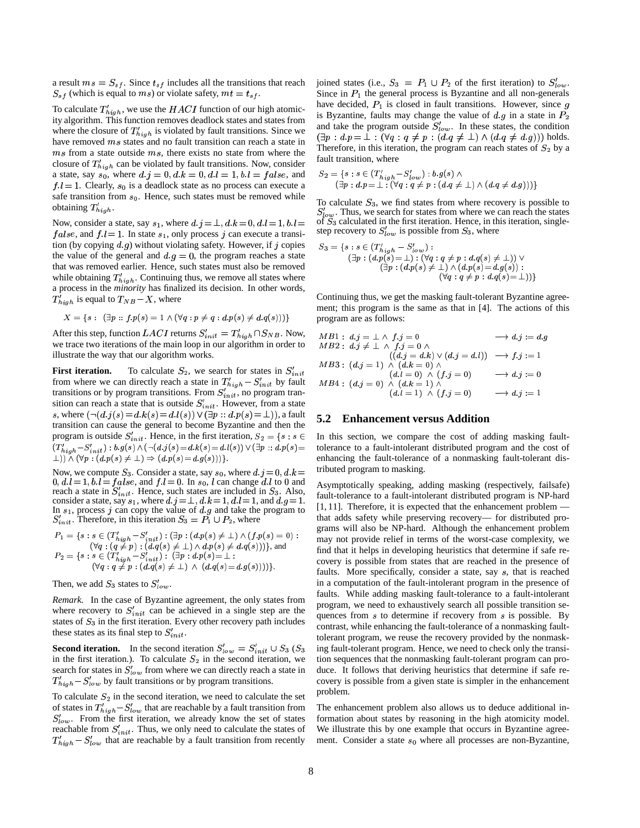a result  $ms = S_{sf}$ . Since  $t_{sf}$  includes all the transitions that reach  $S_{sf}$  (which is equal to ms) or violate safety,  $mt = t_{sf}$ .

To calculate  $T'_{high}$ , we use the  $HACI$  function of our high atomicity algorithm. This function removes deadlock states and states from where the closure of  $T'_{high}$  is violated by fault transitions. Since we have removed  $ms$  states and no fault transition can reach a state in  $ms$  from a state outside  $ms$ , there exists no state from where the closure of  $T'_{high}$  can be violated by fault transitions. Now, consider a state, say  $s_0$ , where  $d, j = 0, d, k = 0, d, l = 1, b, l = false$ , and  $f \cdot l = 1$ . Clearly,  $s_0$  is a deadlock state as no process can execute a safe transition from  $s_0$ . Hence, such states must be removed while obtaining  $T'_{high}$ .

Now, consider a state, say  $s_1$ , where  $d, j = \perp, d, k = 0, d, l = 1, b, l = \text{ot } S_3$  $false$ , and  $f \, l = 1$ . In state  $s_1$ , only process j can execute a transition (by copying  $d, g$ ) without violating safety. However, if  $j$  copies the value of the general and  $d.g = 0$ , the program reaches a state that was removed earlier. Hence, such states must also be removed while obtaining  $T'_{high}$ . Continuing thus, we remove all states where a process in the *minority* has finalized its decision. In other words,  $T'_{high}$  is equal to  $T_{NB}-X$ , where

$$
X = \{ s : (\exists p :: f.p(s) = 1 \land (\forall q : p \neq q : d.p(s) \neq d.q(s))) \}
$$

After this step, function LACI returns  $S'_{init} = T'_{high} \cap S_{NB}$ . Now, we trace two iterations of the main loop in our algorithm in order to illustrate the way that our algorithm works.

**First iteration.** To calculate  $S_2$ , we search for states in  $S'_{init}$ from where we can directly reach a state in  $T'_{high} - S'_{init}$  by fault transitions or by program transitions. From  $S'_{init}$ , no program transition can reach a state that is outside  $S'_{init}$ . However, from a state s, where  $(\neg (d.j(s) = d.k(s) = d.l(s)) \vee (\exists p :: d.p(s) = \bot) )$ , a fault transition can cause the general to become Byzantine and then the program is outside  $S'_{init}$ . Hence, in the first iteration,  $S_2 = \{s : s \in \mathbb{R} \mid s \in \mathbb{R} \}$  $(T'_{high} - S'_{init}) : b.g(s) \wedge (\neg (d \; j(s) = d \; k(s) = d \; l(s)) \vee (\exists p :: d \; p(s) = 1)$  $(\bot)) \wedge (\forall p : (d.p(s) \neq \bot) \Rightarrow (d.p(s) = d.g(s)))\}.$ 

Now, we compute  $S_3$ . Consider a state, say  $s_0$ , where  $d \, j = 0, d \, k =$  [110]  $0, d, l = 1, b, l = false$ , and  $fl = 0$ . In  $s_0, l$  can change dl to 0 and  $\Delta$ . reach a state in  $S'_{init}$ . Hence, such states are included in  $S_3$ . Also, consider a state, say  $s_1$ , where  $d_i$   $j = \perp, d_k$ ,  $k = 1, d_l$   $l = 1$ , and  $d_i$   $g = 1$ . In  $s_1$ , process j can copy the value of d g and take the program to  $S'_{init}$ . Therefore, in this iteration  $S_3 = P_1 \cup P_2$ , where

$$
P_1 = \{s : s \in (T'_{high} - S'_{init}) : (\exists p : (d.p(s) \neq \bot) \land (f.p(s) = 0) : (q q : (q \neq p) : (d.q(s) \neq \bot) \land d.p(s) \neq d.q(s))\}, \text{ and}
$$
  
\n
$$
P_2 = \{s : s \in (T'_{high} - S'_{init}) : (\exists p : d.p(s) = \bot : (q q = p : (d.q(s) \neq \bot) \land (d.q(s) = d.g(s))))\}.
$$

Then, we add  $S_3$  states to  $S'_{low}$ .

*Remark.* In the case of Byzantine agreement, the only states from where recovery to  $S'_{init}$  can be achieved in a single step are the states of  $S_3$  in the first iteration. Every other recovery path includes these states as its final step to  $S'_{init}$ .

**Second iteration.** In the second iteration  $S'_{low} = S'_{init} \cup S_3$  ( $S_3$  ing f in the first iteration.). To calculate  $S_2$  in the second iteration, we search for states in  $S'_{low}$  from where we can directly reach a state in  $T'_{high} - S'_{low}$  by fault transitions or by program transitions.

To calculate  $S_2$  in the second iteration, we need to calculate the set of states in  $T'_{high} - S'_{low}$  that are reachable by a fault transition from  $S'_{low}$ . From the first iteration, we already know the set of states reachable from  $S'_{init}$ . Thus, we only need to calculate the states of  $T'_{high} - S'_{low}$  that are reachable by a fault transition from recently

joined states (i.e.,  $S_3 = P_1 \cup P_2$  of the first iteration) to  $S'_{low}$ . Since in  $P_1$  the general process is Byzantine and all non-generals have decided,  $P_1$  is closed in fault transitions. However, since  $g$ is Byzantine, faults may change the value of  $d.g$  in a state in  $P_2$ and take the program outside  $S'_{low}$ . In these states, the condition  $(\exists p : d \cdot p = \bot : (\forall q : q \neq p : (d \cdot q \neq \bot) \wedge (d \cdot q \neq d \cdot g)))$  holds. Therefore, in this iteration, the program can reach states of  $S_2$  by a fault transition, where

$$
S_2 = \{s : s \in (T'_{high} - S'_{low}) : b.g(s) \land (\exists p : d.p = \bot : (\forall q : q \neq p : (d.q \neq \bot) \land (d.q \neq d.g)))\}
$$

 $\mu = 0.03$  canonic To calculate  $S_3$ , we find states from where recovery is possible to  $S'_{low}$ . Thus, we search for states from where we can reach the states of  $S_3$  calculated in the first iteration. Hence, in this iteration, singlestep recovery to  $S'_{low}$  is possible from  $S_3$ , where

$$
S_3 = \{s : s \in (T'_{high} - S'_{low}) :(\exists p : (d.p(s) = \bot) : (\forall q : q \neq p : d.q(s) \neq \bot)) \vee(\exists p : (d.p(s) \neq \bot) \wedge (d.p(s) = d.g(s)) :(\forall q : q \neq p : d.q(s) = \bot)\}\
$$

Continuing thus, we get the masking fault-tolerant Byzantine agreement; this program is the same as that in [4]. The actions of this program are as follows:

$$
\begin{array}{llll}\n\text{AB1:} & d\text{.} & j = \bot \land & f \text{.} & j = 0 \\
\text{AB2:} & d\text{.} & j \neq \bot \land & f \text{.} & j = 0 \land \\
 & (d\text{.} & j = d\text{.} & k) \lor (d\text{.} & j = d\text{.} & l) & \longrightarrow f \text{.} & j := 1 \\
 & MB3: & (d\text{.} & j = 1) \land (d\text{.} & k = 0) \land \\
 & (d\text{.} & l = 0) \land (f\text{.} & j = 0) & \longrightarrow d\text{.} & j := 0 \\
 & MB4: & (d\text{.} & j = 0) \land (d\text{.} & k = 1) \land \\
 & (d\text{.} & l = 1) \land (f\text{.} & j = 0) & \longrightarrow d\text{.} & j := 1\n\end{array}
$$

#### **5.2 Enhancement versus Addition**

 $s \in$  In this section, we compare the cost of adding masking fault- ) tolerance to a fault-intolerant distributed program and the cost of  $k =$  tributed program to masking. enhancing the fault-tolerance of a nonmasking fault-tolerant dis-

 $\mu = 0$  may not provide relief in terms of the worst-case complexity, we Asymptotically speaking, adding masking (respectively, failsafe) fault-tolerance to a fault-intolerant distributed program is NP-hard [1, 11]. Therefore, it is expected that the enhancement problem that adds safety while preserving recovery— for distributed programs will also be NP-hard. Although the enhancement problem find that it helps in developing heuristics that determine if safe recovery is possible from states that are reached in the presence of faults. More specifically, consider a state, say  $s$ , that is reached in a computation of the fault-intolerant program in the presence of faults. While adding masking fault-tolerance to a fault-intolerant program, we need to exhaustively search all possible transition sequences from  $s$  to determine if recovery from  $s$  is possible. By contrast, while enhancing the fault-tolerance of a nonmasking faulttolerant program, we reuse the recovery provided by the nonmasking fault-tolerant program. Hence, we need to check only the transition sequences that the nonmasking fault-tolerant program can produce. It follows that deriving heuristics that determine if safe recovery is possible from a given state is simpler in the enhancement problem.

> The enhancement problem also allows us to deduce additional information about states by reasoning in the high atomicity model. We illustrate this by one example that occurs in Byzantine agreement. Consider a state  $s_0$  where all processes are non-Byzantine,